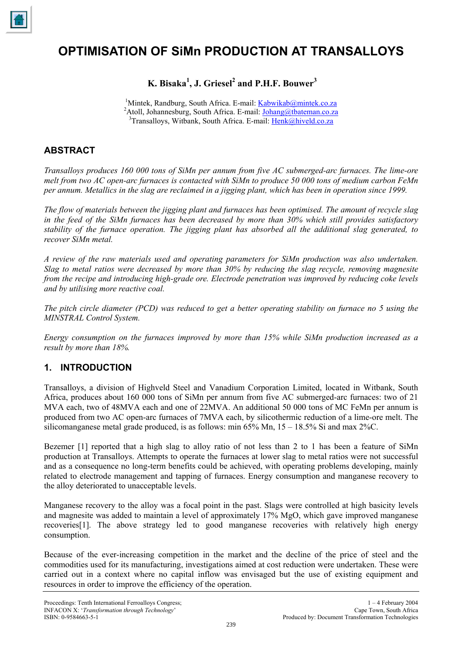

# **OPTIMISATION OF SiMn PRODUCTION AT TRANSALLOYS**

**K. Bisaka1 , J. Griesel 2 and P.H.F. Bouwer 3** 

<sup>1</sup>Mintek, Randburg, South Africa. E-mail: [Kabwikab@mintek.co.za](mailto:Kabwikab@mintek.co.za) <sup>2</sup>Atoll, Johannesburg, South Africa. E-mail: [Johang@tbateman.co.za](mailto:Johang@tbateman.co.za)  $3$ Transalloys, Witbank, South Africa. E-mail: [Henk@hiveld.co.za](mailto:Henk@hiveld.co.za)

# **ABSTRACT**

*Transalloys produces 160 000 tons of SiMn per annum from five AC submerged-arc furnaces. The lime-ore melt from two AC open-arc furnaces is contacted with SiMn to produce 50 000 tons of medium carbon FeMn per annum. Metallics in the slag are reclaimed in a jigging plant, which has been in operation since 1999.* 

*The flow of materials between the jigging plant and furnaces has been optimised. The amount of recycle slag in the feed of the SiMn furnaces has been decreased by more than 30% which still provides satisfactory stability of the furnace operation. The jigging plant has absorbed all the additional slag generated, to recover SiMn metal.* 

*A review of the raw materials used and operating parameters for SiMn production was also undertaken. Slag to metal ratios were decreased by more than 30% by reducing the slag recycle, removing magnesite from the recipe and introducing high-grade ore. Electrode penetration was improved by reducing coke levels and by utilising more reactive coal.* 

*The pitch circle diameter (PCD) was reduced to get a better operating stability on furnace no 5 using the MINSTRAL Control System.* 

*Energy consumption on the furnaces improved by more than 15% while SiMn production increased as a result by more than 18%.* 

# **1. INTRODUCTION**

Transalloys, a division of Highveld Steel and Vanadium Corporation Limited, located in Witbank, South Africa, produces about 160 000 tons of SiMn per annum from five AC submerged-arc furnaces: two of 21 MVA each, two of 48MVA each and one of 22MVA. An additional 50 000 tons of MC FeMn per annum is produced from two AC open-arc furnaces of 7MVA each, by silicothermic reduction of a lime-ore melt. The silicomanganese metal grade produced, is as follows: min 65% Mn,  $15 - 18.5\%$  Si and max 2%C.

Bezemer [1] reported that a high slag to alloy ratio of not less than 2 to 1 has been a feature of SiMn production at Transalloys. Attempts to operate the furnaces at lower slag to metal ratios were not successful and as a consequence no long-term benefits could be achieved, with operating problems developing, mainly related to electrode management and tapping of furnaces. Energy consumption and manganese recovery to the alloy deteriorated to unacceptable levels.

Manganese recovery to the alloy was a focal point in the past. Slags were controlled at high basicity levels and magnesite was added to maintain a level of approximately 17% MgO, which gave improved manganese recoveries[1]. The above strategy led to good manganese recoveries with relatively high energy consumption.

Because of the ever-increasing competition in the market and the decline of the price of steel and the commodities used for its manufacturing, investigations aimed at cost reduction were undertaken. These were carried out in a context where no capital inflow was envisaged but the use of existing equipment and resources in order to improve the efficiency of the operation.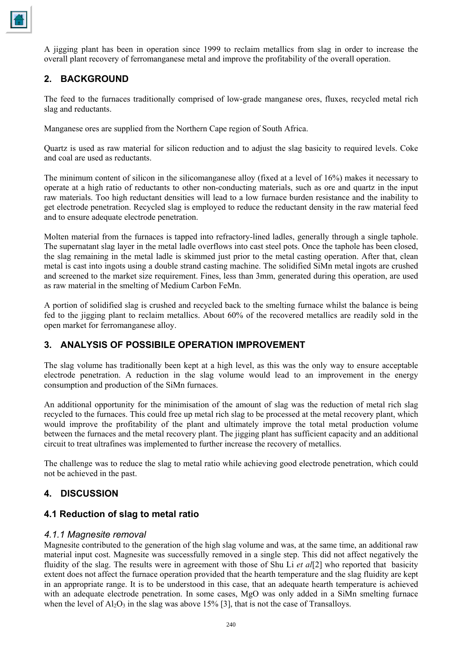

A jigging plant has been in operation since 1999 to reclaim metallics from slag in order to increase the overall plant recovery of ferromanganese metal and improve the profitability of the overall operation.

# **2. BACKGROUND**

The feed to the furnaces traditionally comprised of low-grade manganese ores, fluxes, recycled metal rich slag and reductants.

Manganese ores are supplied from the Northern Cape region of South Africa.

Quartz is used as raw material for silicon reduction and to adjust the slag basicity to required levels. Coke and coal are used as reductants.

The minimum content of silicon in the silicomanganese alloy (fixed at a level of 16%) makes it necessary to operate at a high ratio of reductants to other non-conducting materials, such as ore and quartz in the input raw materials. Too high reductant densities will lead to a low furnace burden resistance and the inability to get electrode penetration. Recycled slag is employed to reduce the reductant density in the raw material feed and to ensure adequate electrode penetration.

Molten material from the furnaces is tapped into refractory-lined ladles, generally through a single taphole. The supernatant slag layer in the metal ladle overflows into cast steel pots. Once the taphole has been closed, the slag remaining in the metal ladle is skimmed just prior to the metal casting operation. After that, clean metal is cast into ingots using a double strand casting machine. The solidified SiMn metal ingots are crushed and screened to the market size requirement. Fines, less than 3mm, generated during this operation, are used as raw material in the smelting of Medium Carbon FeMn.

A portion of solidified slag is crushed and recycled back to the smelting furnace whilst the balance is being fed to the jigging plant to reclaim metallics. About 60% of the recovered metallics are readily sold in the open market for ferromanganese alloy.

# **3. ANALYSIS OF POSSIBILE OPERATION IMPROVEMENT**

The slag volume has traditionally been kept at a high level, as this was the only way to ensure acceptable electrode penetration. A reduction in the slag volume would lead to an improvement in the energy consumption and production of the SiMn furnaces.

An additional opportunity for the minimisation of the amount of slag was the reduction of metal rich slag recycled to the furnaces. This could free up metal rich slag to be processed at the metal recovery plant, which would improve the profitability of the plant and ultimately improve the total metal production volume between the furnaces and the metal recovery plant. The jigging plant has sufficient capacity and an additional circuit to treat ultrafines was implemented to further increase the recovery of metallics.

The challenge was to reduce the slag to metal ratio while achieving good electrode penetration, which could not be achieved in the past.

# **4. DISCUSSION**

## **4.1 Reduction of slag to metal ratio**

#### *4.1.1 Magnesite removal*

Magnesite contributed to the generation of the high slag volume and was, at the same time, an additional raw material input cost. Magnesite was successfully removed in a single step. This did not affect negatively the fluidity of the slag. The results were in agreement with those of Shu Li *et al*[2] who reported that basicity extent does not affect the furnace operation provided that the hearth temperature and the slag fluidity are kept in an appropriate range. It is to be understood in this case, that an adequate hearth temperature is achieved with an adequate electrode penetration. In some cases, MgO was only added in a SiMn smelting furnace when the level of  $Al_2O_3$  in the slag was above 15% [3], that is not the case of Transalloys.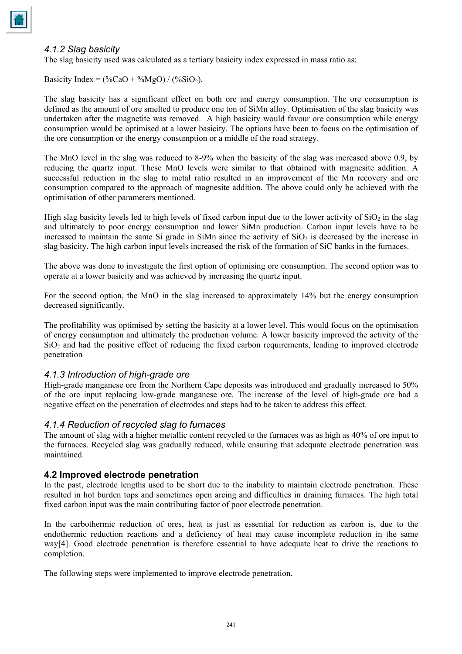#### *4.1.2 Slag basicity*

The slag basicity used was calculated as a tertiary basicity index expressed in mass ratio as:

Basicity Index =  $(\%CaO + \%MgO) / (\%SiO_2)$ .

The slag basicity has a significant effect on both ore and energy consumption. The ore consumption is defined as the amount of ore smelted to produce one ton of SiMn alloy. Optimisation of the slag basicity was undertaken after the magnetite was removed. A high basicity would favour ore consumption while energy consumption would be optimised at a lower basicity. The options have been to focus on the optimisation of the ore consumption or the energy consumption or a middle of the road strategy.

The MnO level in the slag was reduced to 8-9% when the basicity of the slag was increased above 0.9, by reducing the quartz input. These MnO levels were similar to that obtained with magnesite addition. A successful reduction in the slag to metal ratio resulted in an improvement of the Mn recovery and ore consumption compared to the approach of magnesite addition. The above could only be achieved with the optimisation of other parameters mentioned.

High slag basicity levels led to high levels of fixed carbon input due to the lower activity of  $SiO<sub>2</sub>$  in the slag and ultimately to poor energy consumption and lower SiMn production. Carbon input levels have to be increased to maintain the same Si grade in SiMn since the activity of  $SiO<sub>2</sub>$  is decreased by the increase in slag basicity. The high carbon input levels increased the risk of the formation of SiC banks in the furnaces.

The above was done to investigate the first option of optimising ore consumption. The second option was to operate at a lower basicity and was achieved by increasing the quartz input.

For the second option, the MnO in the slag increased to approximately 14% but the energy consumption decreased significantly.

The profitability was optimised by setting the basicity at a lower level. This would focus on the optimisation of energy consumption and ultimately the production volume. A lower basicity improved the activity of the  $SiO<sub>2</sub>$  and had the positive effect of reducing the fixed carbon requirements, leading to improved electrode penetration

#### *4.1.3 Introduction of high-grade ore*

High-grade manganese ore from the Northern Cape deposits was introduced and gradually increased to 50% of the ore input replacing low-grade manganese ore. The increase of the level of high-grade ore had a negative effect on the penetration of electrodes and steps had to be taken to address this effect.

#### *4.1.4 Reduction of recycled slag to furnaces*

The amount of slag with a higher metallic content recycled to the furnaces was as high as 40% of ore input to the furnaces. Recycled slag was gradually reduced, while ensuring that adequate electrode penetration was maintained.

#### **4.2 Improved electrode penetration**

In the past, electrode lengths used to be short due to the inability to maintain electrode penetration. These resulted in hot burden tops and sometimes open arcing and difficulties in draining furnaces. The high total fixed carbon input was the main contributing factor of poor electrode penetration.

In the carbothermic reduction of ores, heat is just as essential for reduction as carbon is, due to the endothermic reduction reactions and a deficiency of heat may cause incomplete reduction in the same way[4]. Good electrode penetration is therefore essential to have adequate heat to drive the reactions to completion.

The following steps were implemented to improve electrode penetration.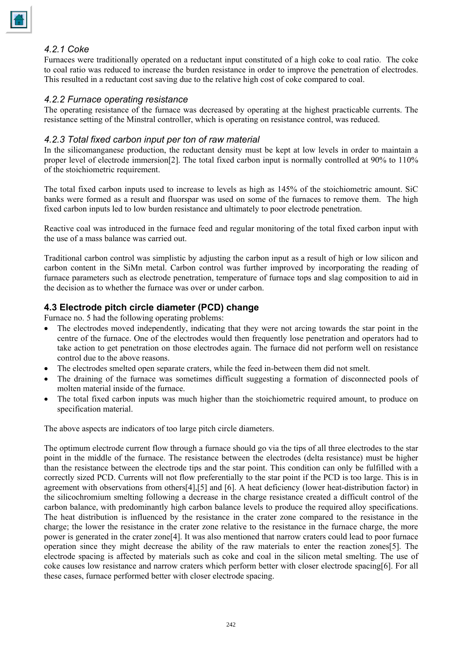## *4.2.1 Coke*

Furnaces were traditionally operated on a reductant input constituted of a high coke to coal ratio. The coke to coal ratio was reduced to increase the burden resistance in order to improve the penetration of electrodes. This resulted in a reductant cost saving due to the relative high cost of coke compared to coal.

#### *4.2.2 Furnace operating resistance*

The operating resistance of the furnace was decreased by operating at the highest practicable currents. The resistance setting of the Minstral controller, which is operating on resistance control, was reduced.

## *4.2.3 Total fixed carbon input per ton of raw material*

In the silicomanganese production, the reductant density must be kept at low levels in order to maintain a proper level of electrode immersion[2]. The total fixed carbon input is normally controlled at 90% to 110% of the stoichiometric requirement.

The total fixed carbon inputs used to increase to levels as high as 145% of the stoichiometric amount. SiC banks were formed as a result and fluorspar was used on some of the furnaces to remove them. The high fixed carbon inputs led to low burden resistance and ultimately to poor electrode penetration.

Reactive coal was introduced in the furnace feed and regular monitoring of the total fixed carbon input with the use of a mass balance was carried out.

Traditional carbon control was simplistic by adjusting the carbon input as a result of high or low silicon and carbon content in the SiMn metal. Carbon control was further improved by incorporating the reading of furnace parameters such as electrode penetration, temperature of furnace tops and slag composition to aid in the decision as to whether the furnace was over or under carbon.

# **4.3 Electrode pitch circle diameter (PCD) change**

Furnace no. 5 had the following operating problems:

- The electrodes moved independently, indicating that they were not arcing towards the star point in the centre of the furnace. One of the electrodes would then frequently lose penetration and operators had to take action to get penetration on those electrodes again. The furnace did not perform well on resistance control due to the above reasons.
- The electrodes smelted open separate craters, while the feed in-between them did not smelt.
- The draining of the furnace was sometimes difficult suggesting a formation of disconnected pools of molten material inside of the furnace.
- The total fixed carbon inputs was much higher than the stoichiometric required amount, to produce on specification material.

The above aspects are indicators of too large pitch circle diameters.

The optimum electrode current flow through a furnace should go via the tips of all three electrodes to the star point in the middle of the furnace. The resistance between the electrodes (delta resistance) must be higher than the resistance between the electrode tips and the star point. This condition can only be fulfilled with a correctly sized PCD. Currents will not flow preferentially to the star point if the PCD is too large. This is in agreement with observations from others[4],[5] and [6]. A heat deficiency (lower heat-distribution factor) in the silicochromium smelting following a decrease in the charge resistance created a difficult control of the carbon balance, with predominantly high carbon balance levels to produce the required alloy specifications. The heat distribution is influenced by the resistance in the crater zone compared to the resistance in the charge; the lower the resistance in the crater zone relative to the resistance in the furnace charge, the more power is generated in the crater zone[4]. It was also mentioned that narrow craters could lead to poor furnace operation since they might decrease the ability of the raw materials to enter the reaction zones[5]. The electrode spacing is affected by materials such as coke and coal in the silicon metal smelting. The use of coke causes low resistance and narrow craters which perform better with closer electrode spacing[6]. For all these cases, furnace performed better with closer electrode spacing.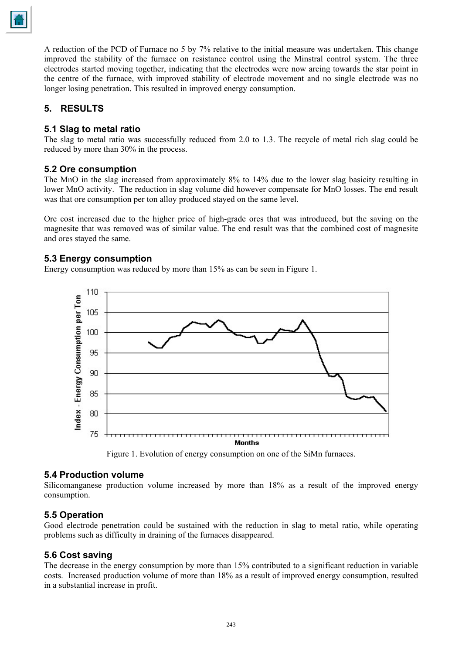A reduction of the PCD of Furnace no 5 by 7% relative to the initial measure was undertaken. This change improved the stability of the furnace on resistance control using the Minstral control system. The three electrodes started moving together, indicating that the electrodes were now arcing towards the star point in the centre of the furnace, with improved stability of electrode movement and no single electrode was no longer losing penetration. This resulted in improved energy consumption.

# **5. RESULTS**

## **5.1 Slag to metal ratio**

The slag to metal ratio was successfully reduced from 2.0 to 1.3. The recycle of metal rich slag could be reduced by more than 30% in the process.

## **5.2 Ore consumption**

The MnO in the slag increased from approximately 8% to 14% due to the lower slag basicity resulting in lower MnO activity. The reduction in slag volume did however compensate for MnO losses. The end result was that ore consumption per ton alloy produced stayed on the same level.

Ore cost increased due to the higher price of high-grade ores that was introduced, but the saving on the magnesite that was removed was of similar value. The end result was that the combined cost of magnesite and ores stayed the same.

## **5.3 Energy consumption**

Energy consumption was reduced by more than 15% as can be seen in Figure 1.



Figure 1. Evolution of energy consumption on one of the SiMn furnaces.

#### **5.4 Production volume**

Silicomanganese production volume increased by more than 18% as a result of the improved energy consumption.

## **5.5 Operation**

Good electrode penetration could be sustained with the reduction in slag to metal ratio, while operating problems such as difficulty in draining of the furnaces disappeared.

## **5.6 Cost saving**

The decrease in the energy consumption by more than 15% contributed to a significant reduction in variable costs. Increased production volume of more than 18% as a result of improved energy consumption, resulted in a substantial increase in profit.